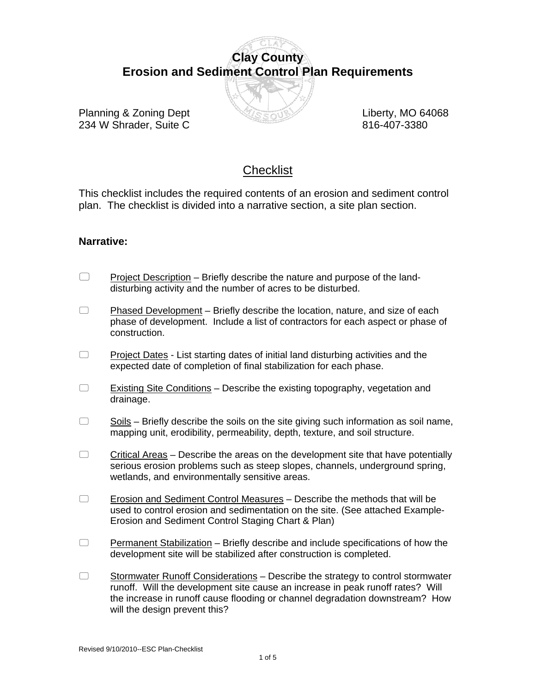# **Clay County Erosion and Sediment Control Plan Requirements**



Planning & Zoning Dept **Liberty, MO 64068** 234 W Shrader, Suite C 816-407-3380

## **Checklist**

This checklist includes the required contents of an erosion and sediment control plan. The checklist is divided into a narrative section, a site plan section.

### **Narrative:**

- $\Box$  Project Description Briefly describe the nature and purpose of the landdisturbing activity and the number of acres to be disturbed.
- $\Box$  Phased Development Briefly describe the location, nature, and size of each phase of development. Include a list of contractors for each aspect or phase of construction.
- $\Box$  Project Dates List starting dates of initial land disturbing activities and the expected date of completion of final stabilization for each phase.
- $\Box$  Existing Site Conditions Describe the existing topography, vegetation and drainage.
- $\Box$  Soils Briefly describe the soils on the site giving such information as soil name, mapping unit, erodibility, permeability, depth, texture, and soil structure.
- $\Box$  Critical Areas Describe the areas on the development site that have potentially serious erosion problems such as steep slopes, channels, underground spring, wetlands, and environmentally sensitive areas.
- $\Box$  Erosion and Sediment Control Measures Describe the methods that will be used to control erosion and sedimentation on the site. (See attached Example- Erosion and Sediment Control Staging Chart & Plan)
- $\Box$  Permanent Stabilization Briefly describe and include specifications of how the development site will be stabilized after construction is completed.
- $\Box$  Stormwater Runoff Considerations Describe the strategy to control stormwater runoff. Will the development site cause an increase in peak runoff rates? Will the increase in runoff cause flooding or channel degradation downstream? How will the design prevent this?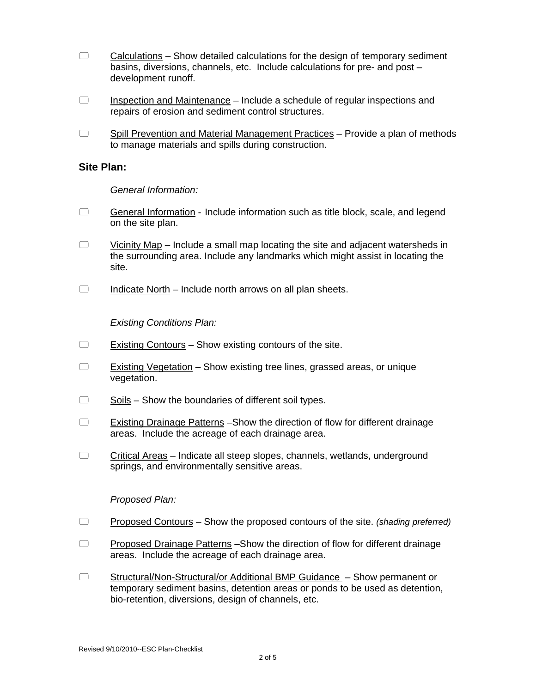- $\Box$  Calculations Show detailed calculations for the design of temporary sediment basins, diversions, channels, etc. Include calculations for pre- and post – development runoff.
- $\Box$  Inspection and Maintenance Include a schedule of regular inspections and repairs of erosion and sediment control structures.
- $\Box$  Spill Prevention and Material Management Practices Provide a plan of methods to manage materials and spills during construction.

#### **Site Plan:**

#### *General Information:*

- $\Box$  General Information Include information such as title block, scale, and legend on the site plan.
- $\Box$  Vicinity Map Include a small map locating the site and adjacent watersheds in the surrounding area. Include any landmarks which might assist in locating the site.
- $\Box$  Indicate North Include north arrows on all plan sheets.

#### *Existing Conditions Plan:*

- $\Box$  Existing Contours Show existing contours of the site.
- $\Box$  Existing Vegetation Show existing tree lines, grassed areas, or unique vegetation.
- $\Box$  Soils Show the boundaries of different soil types.
- Existing Drainage Patterns –Show the direction of flow for different drainage areas. Include the acreage of each drainage area.
- $\Box$  Critical Areas Indicate all steep slopes, channels, wetlands, underground springs, and environmentally sensitive areas.

#### *Proposed Plan:*

- Proposed Contours Show the proposed contours of the site. *(shading preferred)*
- □ Proposed Drainage Patterns Show the direction of flow for different drainage areas. Include the acreage of each drainage area.
- □ Structural/Non-Structural/or Additional BMP Guidance Show permanent or temporary sediment basins, detention areas or ponds to be used as detention, bio-retention, diversions, design of channels, etc.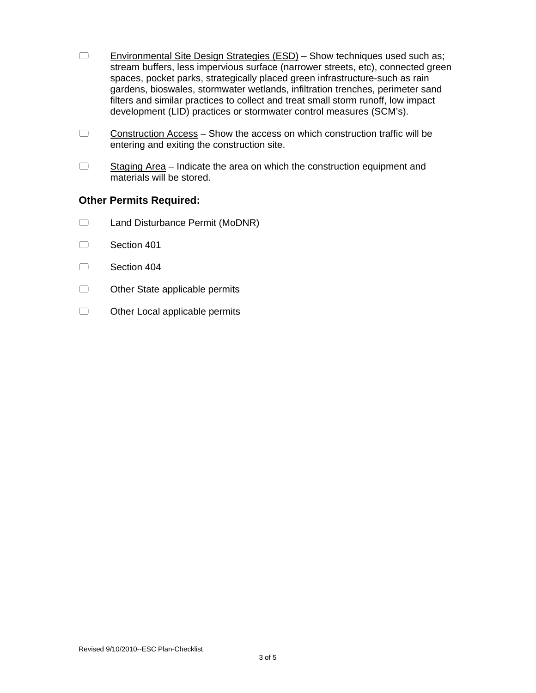- $\Box$  Environmental Site Design Strategies (ESD) Show techniques used such as; stream buffers, less impervious surface (narrower streets, etc), connected green spaces, pocket parks, strategically placed green infrastructure-such as rain gardens, bioswales, stormwater wetlands, infiltration trenches, perimeter sand filters and similar practices to collect and treat small storm runoff, low impact development (LID) practices or stormwater control measures (SCM's).
- $\Box$  Construction Access Show the access on which construction traffic will be entering and exiting the construction site.
- $\Box$  Staging Area Indicate the area on which the construction equipment and materials will be stored.

#### **Other Permits Required:**

- C Land Disturbance Permit (MoDNR)
- Section 401
- Section 404
- $\Box$  Other State applicable permits
- $\Box$  Other Local applicable permits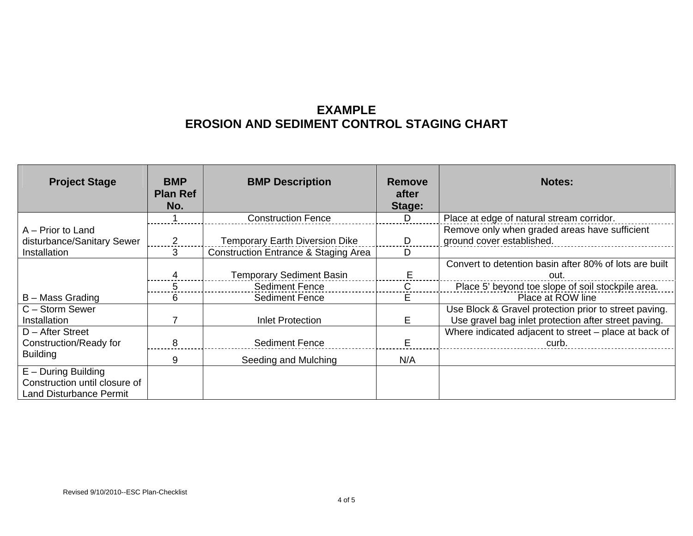## **EXAMPLE EROSION AND SEDIMENT CONTROL STAGING CHART**

| <b>Project Stage</b>                      | <b>BMP</b><br><b>Plan Ref</b><br>No. | <b>BMP Description</b>                          | <b>Remove</b><br>after<br>Stage: | <b>Notes:</b>                                                                                                 |
|-------------------------------------------|--------------------------------------|-------------------------------------------------|----------------------------------|---------------------------------------------------------------------------------------------------------------|
|                                           |                                      | <b>Construction Fence</b>                       | D                                | Place at edge of natural stream corridor.                                                                     |
| A – Prior to Land                         |                                      |                                                 |                                  | Remove only when graded areas have sufficient                                                                 |
| disturbance/Sanitary Sewer                |                                      | <b>Temporary Earth Diversion Dike</b>           | D                                | ground cover established.                                                                                     |
| Installation                              | 3                                    | <b>Construction Entrance &amp; Staging Area</b> | D                                |                                                                                                               |
|                                           |                                      |                                                 |                                  | Convert to detention basin after 80% of lots are built                                                        |
|                                           |                                      | <b>Temporary Sediment Basin</b>                 |                                  | out.                                                                                                          |
|                                           |                                      | <b>Sediment Fence</b>                           | C                                | Place 5' beyond toe slope of soil stockpile area.                                                             |
| B – Mass Grading                          | 6                                    | <b>Sediment Fence</b>                           | E.                               | Place at ROW line                                                                                             |
| C - Storm Sewer<br>Installation           |                                      | <b>Inlet Protection</b>                         | E.                               | Use Block & Gravel protection prior to street paving.<br>Use gravel bag inlet protection after street paving. |
| D - After Street                          |                                      |                                                 |                                  | Where indicated adjacent to street - place at back of                                                         |
| Construction/Ready for<br><b>Building</b> |                                      | <b>Sediment Fence</b>                           |                                  | curb.                                                                                                         |
|                                           | 9                                    | Seeding and Mulching                            | N/A                              |                                                                                                               |
| $E -$ During Building                     |                                      |                                                 |                                  |                                                                                                               |
| Construction until closure of             |                                      |                                                 |                                  |                                                                                                               |
| <b>Land Disturbance Permit</b>            |                                      |                                                 |                                  |                                                                                                               |